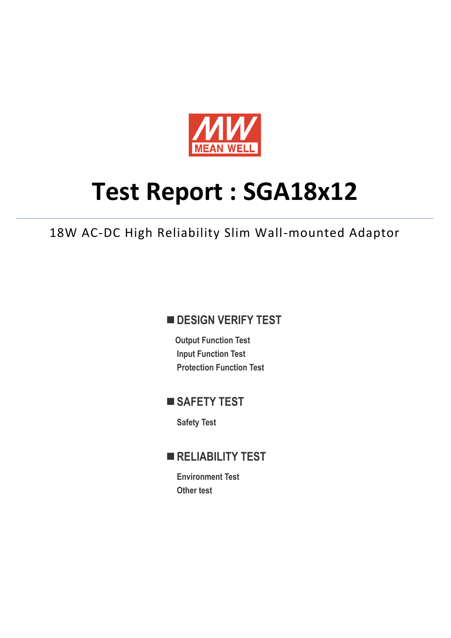

# **Test Report : SGA18x12**

18W AC-DC High Reliability Slim Wall-mounted Adaptor

## **DESIGN VERIFY TEST**

**Output Function Test Input Function Test Protection Function Test**

## **SAFETY TEST**

**Safety Test**

## **RELIABILITY TEST**

**Environment Test Other test**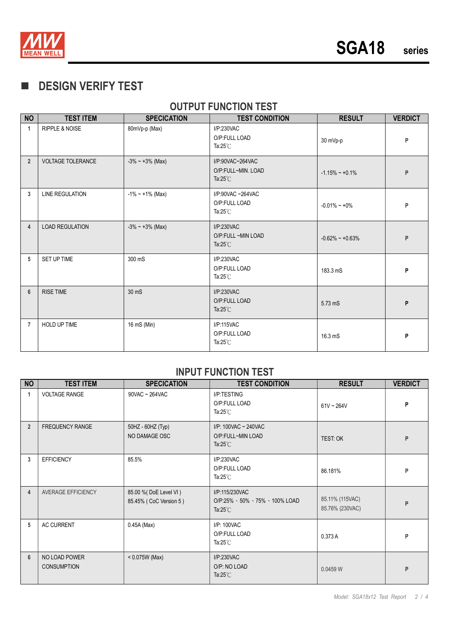

# **DESIGN VERIFY TEST**

## **OUTPUT FUNCTION TEST**

| <b>NO</b>      | <b>TEST ITEM</b>          | <b>SPECICATION</b>     | <b>TEST CONDITION</b>                                        | <b>RESULT</b>       | <b>VERDICT</b> |
|----------------|---------------------------|------------------------|--------------------------------------------------------------|---------------------|----------------|
| 1              | <b>RIPPLE &amp; NOISE</b> | 80mVp-p (Max)          | I/P:230VAC<br>O/P:FULL LOAD<br>Ta: $25^{\circ}$ C            | 30 mVp-p            | P              |
| $\overline{2}$ | <b>VOLTAGE TOLERANCE</b>  | $-3\% \sim +3\%$ (Max) | I/P:90VAC~264VAC<br>O/P:FULL~MIN. LOAD<br>Ta: $25^{\circ}$ C | $-1.15\% - +0.1\%$  | P              |
| 3              | <b>LINE REGULATION</b>    | $-1\%$ ~ +1% (Max)     | I/P:90VAC~264VAC<br>O/P:FULL LOAD<br>Ta: $25^{\circ}$ C      | $-0.01\% - +0\%$    | P              |
| 4              | <b>LOAD REGULATION</b>    | $-3\% \sim +3\%$ (Max) | I/P:230VAC<br>O/P:FULL ~MIN LOAD<br>Ta: $25^{\circ}$ C       | $-0.62\% - +0.63\%$ | P              |
| 5              | SET UP TIME               | 300 mS                 | I/P:230VAC<br>O/P:FULL LOAD<br>Ta: $25^{\circ}$ C            | 183.3 mS            | P              |
| $6\phantom{1}$ | <b>RISE TIME</b>          | 30 mS                  | I/P:230VAC<br>O/P:FULL LOAD<br>Ta: $25^{\circ}$ C            | 5.73 mS             | P              |
| $\overline{7}$ | <b>HOLD UP TIME</b>       | 16 mS (Min)            | I/P:115VAC<br>O/P:FULL LOAD<br>Ta: $25^{\circ}$ C            | 16.3 mS             | P              |

#### **INPUT FUNCTION TEST**

| <b>NO</b>      | <b>TEST ITEM</b>                    | <b>SPECICATION</b>                               | <b>TEST CONDITION</b>                                                                     | <b>RESULT</b>                      | <b>VERDICT</b> |
|----------------|-------------------------------------|--------------------------------------------------|-------------------------------------------------------------------------------------------|------------------------------------|----------------|
| 1              | <b>VOLTAGE RANGE</b>                | $90VAC - 264VAC$                                 | I/P:TESTING<br>O/P:FULL LOAD<br>Ta: $25^{\circ}$ C                                        | $61V - 264V$                       | P              |
| $\overline{2}$ | <b>FREQUENCY RANGE</b>              | 50HZ - 60HZ (Typ)<br>NO DAMAGE OSC               | I/P: 100VAC ~ 240VAC<br>O/P:FULL~MIN LOAD<br>Ta: $25^{\circ}$ C                           | TEST: OK                           | P              |
| 3              | <b>EFFICIENCY</b>                   | 85.5%                                            | I/P:230VAC<br>O/P:FULL LOAD<br>Ta: $25^{\circ}$ C                                         | 86.181%                            | P              |
| $\overline{4}$ | <b>AVERAGE EFFICIENCY</b>           | 85.00 % (DoE Level VI)<br>85.45% (CoC Version 5) | I/P:115/230VAC<br>$O/P:25\% \cdot 50\% \cdot 75\% \cdot 100\%$ LOAD<br>Ta: $25^{\circ}$ C | 85.11% (115VAC)<br>85.76% (230VAC) | P              |
| 5              | <b>AC CURRENT</b>                   | $0.45A$ (Max)                                    | I/P: 100VAC<br>O/P:FULL LOAD<br>Ta: $25^{\circ}$ C                                        | 0.373 A                            | P              |
| $6\phantom{1}$ | NO LOAD POWER<br><b>CONSUMPTION</b> | $< 0.075W$ (Max)                                 | I/P:230VAC<br>O/P: NO LOAD<br>Ta: $25^{\circ}$ C                                          | 0.0459 W                           | P              |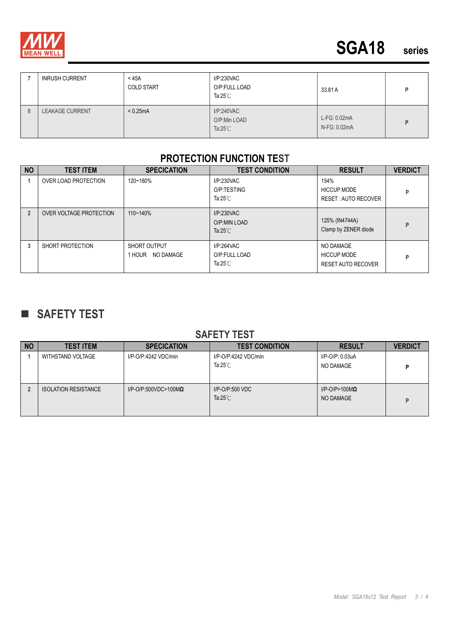

|   | <b>INRUSH CURRENT</b>  | $<$ 45A<br><b>COLD START</b> | I/P:230VAC<br>O/P:FULL LOAD<br>Ta: $25^{\circ}$ C | 33.81 A                      |  |
|---|------------------------|------------------------------|---------------------------------------------------|------------------------------|--|
| 8 | <b>LEAKAGE CURRENT</b> | < 0.25mA                     | I/P:240VAC<br>O/P:Min LOAD<br>Ta: $25^{\circ}$ C  | L-FG: 0.02mA<br>N-FG: 0.02mA |  |

#### **PROTECTION FUNCTION TEST**

| <b>NO</b>      | <b>TEST ITEM</b>            | <b>SPECICATION</b>               | <b>TEST CONDITION</b>                             | <b>RESULT</b>                                                | <b>VERDICT</b> |
|----------------|-----------------------------|----------------------------------|---------------------------------------------------|--------------------------------------------------------------|----------------|
|                | <b>OVER LOAD PROTECTION</b> | 120~180%                         | I/P:230VAC<br>O/P:TESTING<br>Ta: $25^{\circ}$ C   | 154%<br><b>HICCUP MODE</b><br>RESET: AUTO RECOVER            | P              |
| $\overline{2}$ | OVER VOLTAGE PROTECTION     | $110 - 140%$                     | I/P:230VAC<br>O/P:MIN LOAD<br>Ta: $25^{\circ}$ C  | 125% (IN4744A)<br>Clamp by ZENER diode                       | P              |
| 3              | SHORT PROTECTION            | SHORT OUTPUT<br>1 HOUR NO DAMAGE | I/P:264VAC<br>O/P:FULL LOAD<br>Ta: $25^{\circ}$ C | NO DAMAGE<br><b>HICCUP MODE</b><br><b>RESET AUTO RECOVER</b> | P              |

# **SAFETY TEST**

#### **SAFETY TEST**

| <b>NO</b> | <b>TEST ITEM</b>            | <b>SPECICATION</b>              | <b>TEST CONDITION</b>                      | <b>RESULT</b>                         | <b>VERDICT</b> |
|-----------|-----------------------------|---------------------------------|--------------------------------------------|---------------------------------------|----------------|
|           | WITHSTAND VOLTAGE           | I/P-O/P:4242 VDC/min            | I/P-O/P:4242 VDC/min<br>Ta: $25^{\circ}$ C | I/P-O/P: 0.03uA<br>NO DAMAGE          | D              |
|           | <b>ISOLATION RESISTANCE</b> | $I/P$ -O/P:500VDC>100M $\Omega$ | $I/P$ -O/P:500 VDC<br>Ta: $25^{\circ}$ C   | $I/P$ -O/P>100M $\Omega$<br>NO DAMAGE | D              |